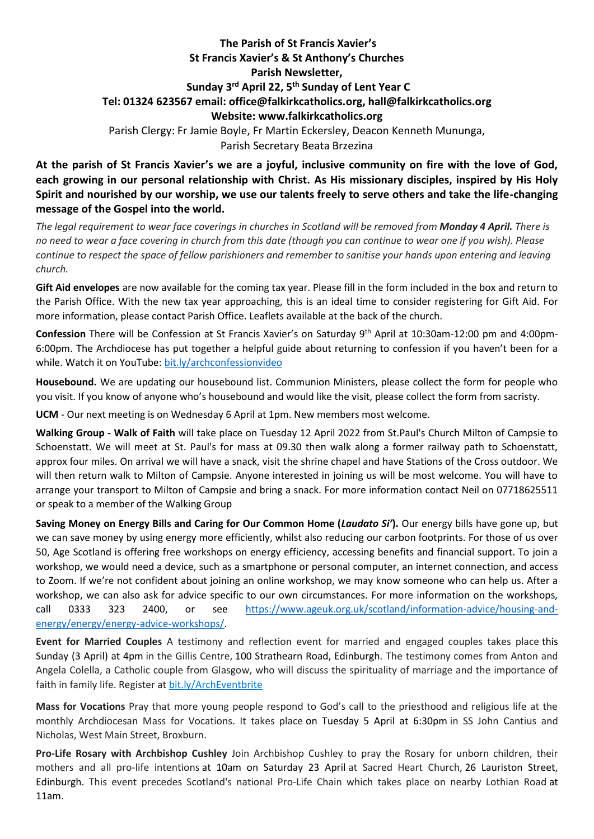## **The Parish of St Francis Xavier's St Francis Xavier's & St Anthony's Churches Parish Newsletter, Sunday 3 rd April 22, 5 th Sunday of Lent Year C Tel: 01324 623567 email: office@falkirkcatholics.org, [hall@falkirkcatholics.org](mailto:hall@falkirkcatholics.org) Website: [www.falkirkcatholics.org](http://www.falkirkcatholics.org/)**  Parish Clergy: Fr Jamie Boyle, Fr Martin Eckersley, Deacon Kenneth Mununga, Parish Secretary Beata Brzezina

**At the parish of St Francis Xavier's we are a joyful, inclusive community on fire with the love of God, each growing in our personal relationship with Christ. As His missionary disciples, inspired by His Holy Spirit and nourished by our worship, we use our talents freely to serve others and take the life-changing message of the Gospel into the world.** 

*The legal requirement to wear face coverings in churches in Scotland will be removed from Monday 4 April. There is no need to wear a face covering in church from this date (though you can continue to wear one if you wish). Please continue to respect the space of fellow parishioners and remember to sanitise your hands upon entering and leaving church.*

**Gift Aid envelopes** are now available for the coming tax year. Please fill in the form included in the box and return to the Parish Office. With the new tax year approaching, this is an ideal time to consider registering for Gift Aid. For more information, please contact Parish Office. Leaflets available at the back of the church.

**Confession** There will be Confession at St Francis Xavier's on Saturday 9th April at 10:30am-12:00 pm and 4:00pm-6:00pm. The Archdiocese has put together a helpful guide about returning to confession if you haven't been for a while. Watch it on YouTube: [bit.ly/archconfessionvideo](https://bit.ly/archconfessionvideo) 

**Housebound.** We are updating our housebound list. Communion Ministers, please collect the form for people who you visit. If you know of anyone who's housebound and would like the visit, please collect the form from sacristy.

**UCM** - Our next meeting is on Wednesday 6 April at 1pm. New members most welcome.

**Walking Group - Walk of Faith** will take place on Tuesday 12 April 2022 from St.Paul's Church Milton of Campsie to Schoenstatt. We will meet at St. Paul's for mass at 09.30 then walk along a former railway path to Schoenstatt, approx four miles. On arrival we will have a snack, visit the shrine chapel and have Stations of the Cross outdoor. We will then return walk to Milton of Campsie. Anyone interested in joining us will be most welcome. You will have to arrange your transport to Milton of Campsie and bring a snack. For more information contact Neil on 07718625511 or speak to a member of the Walking Group

**Saving Money on Energy Bills and Caring for Our Common Home (***Laudato Si'***).** Our energy bills have gone up, but we can save money by using energy more efficiently, whilst also reducing our carbon footprints. For those of us over 50, Age Scotland is offering free workshops on energy efficiency, accessing benefits and financial support. To join a workshop, we would need a device, such as a smartphone or personal computer, an internet connection, and access to Zoom. If we're not confident about joining an online workshop, we may know someone who can help us. After a workshop, we can also ask for advice specific to our own circumstances. For more information on the workshops, call 0333 323 2400, or see [https://www.ageuk.org.uk/scotland/information-advice/housing-and](https://www.ageuk.org.uk/scotland/information-advice/housing-and-energy/energy/energy-advice-workshops/)[energy/energy/energy-advice-workshops/.](https://www.ageuk.org.uk/scotland/information-advice/housing-and-energy/energy/energy-advice-workshops/)

**Event for Married Couples** A testimony and reflection event for married and engaged couples takes place this Sunday (3 April) at 4pm in the Gillis Centre, 100 Strathearn Road, Edinburgh. The testimony comes from Anton and Angela Colella, a Catholic couple from Glasgow, who will discuss the spirituality of marriage and the importance of faith in family life. Register at [bit.ly/ArchEventbrite](https://www.eventbrite.co.uk/e/testimony-and-holy-hour-with-anton-and-angela-colella-tickets-251074569797?aff=ebdsoporgprofile)

**Mass for Vocations** Pray that more young people respond to God's call to the priesthood and religious life at the monthly Archdiocesan Mass for Vocations. It takes place on Tuesday 5 April at 6:30pm in SS John Cantius and Nicholas, West Main Street, Broxburn.

**Pro-Life Rosary with Archbishop Cushley** Join Archbishop Cushley to pray the Rosary for unborn children, their mothers and all pro-life intentions at 10am on Saturday 23 April at Sacred Heart Church, 26 Lauriston Street, Edinburgh. This event precedes Scotland's national Pro-Life Chain which takes place on nearby Lothian Road at 11am.